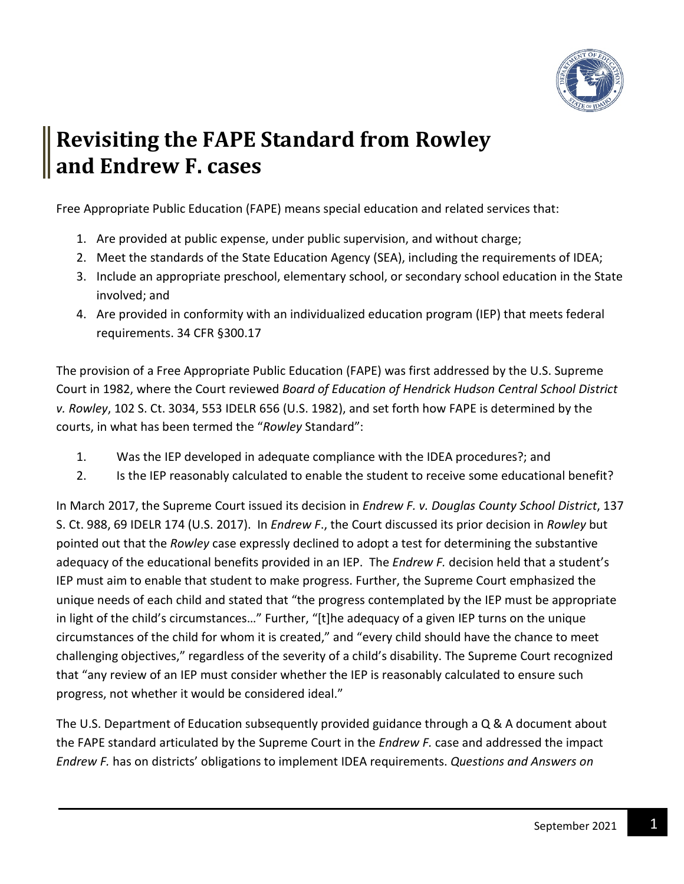

## **Revisiting the FAPE Standard from Rowley and Endrew F. cases**

Free Appropriate Public Education (FAPE) means special education and related services that:

- 1. Are provided at public expense, under public supervision, and without charge;
- 2. Meet the standards of the State Education Agency (SEA), including the requirements of IDEA;
- 3. Include an appropriate preschool, elementary school, or secondary school education in the State involved; and
- 4. Are provided in conformity with an individualized education program (IEP) that meets federal requirements. 34 CFR §300.17

The provision of a Free Appropriate Public Education (FAPE) was first addressed by the U.S. Supreme Court in 1982, where the Court reviewed *Board of Education of Hendrick Hudson Central School District v. Rowley*, 102 S. Ct. 3034, 553 IDELR 656 (U.S. 1982), and set forth how FAPE is determined by the courts, in what has been termed the "*Rowley* Standard":

- 1. Was the IEP developed in adequate compliance with the IDEA procedures?; and
- 2. Is the IEP reasonably calculated to enable the student to receive some educational benefit?

In March 2017, the Supreme Court issued its decision in *Endrew F. v. Douglas County School District*, 137 S. Ct. 988, 69 IDELR 174 (U.S. 2017). In *Endrew F*., the Court discussed its prior decision in *Rowley* but pointed out that the *Rowley* case expressly declined to adopt a test for determining the substantive adequacy of the educational benefits provided in an IEP. The *Endrew F.* decision held that a student's IEP must aim to enable that student to make progress. Further, the Supreme Court emphasized the unique needs of each child and stated that "the progress contemplated by the IEP must be appropriate in light of the child's circumstances…" Further, "[t]he adequacy of a given IEP turns on the unique circumstances of the child for whom it is created," and "every child should have the chance to meet challenging objectives," regardless of the severity of a child's disability. The Supreme Court recognized that "any review of an IEP must consider whether the IEP is reasonably calculated to ensure such progress, not whether it would be considered ideal."

The U.S. Department of Education subsequently provided guidance through a Q & A document about the FAPE standard articulated by the Supreme Court in the *Endrew F.* case and addressed the impact *Endrew F.* has on districts' obligations to implement IDEA requirements. *Questions and Answers on*